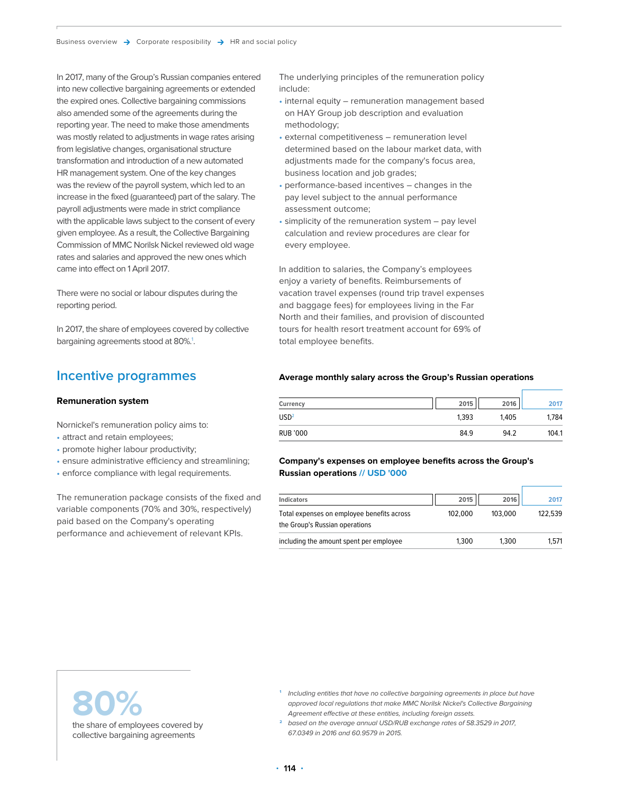In 2017, many of the Group's Russian companies entered into new collective bargaining agreements or extended the expired ones. Collective bargaining commissions also amended some of the agreements during the reporting year. The need to make those amendments was mostly related to adjustments in wage rates arising from legislative changes, organisational structure transformation and introduction of a new automated HR management system. One of the key changes was the review of the payroll system, which led to an increase in the fixed (guaranteed) part of the salary. The payroll adjustments were made in strict compliance with the applicable laws subject to the consent of every given employee. As a result, the Collective Bargaining Commission of MMC Norilsk Nickel reviewed old wage rates and salaries and approved the new ones which came into effect on 1 April 2017.

There were no social or labour disputes during the reporting period.

In 2017, the share of employees covered by collective bargaining agreements stood at 80%.<sup>1</sup>.

### **Incentive programmes**

#### **Remuneration system**

Nornickel's remuneration policy aims to:

- attract and retain employees;
- promote higher labour productivity;
- ensure administrative efficiency and streamlining;
- enforce compliance with legal requirements.

The remuneration package consists of the fixed and variable components (70% and 30%, respectively) paid based on the Company's operating performance and achievement of relevant KPIs.

The underlying principles of the remuneration policy include:

- internal equity remuneration management based on HAY Group job description and evaluation methodology;
- external competitiveness remuneration level determined based on the labour market data, with adjustments made for the company's focus area, business location and job grades;
- performance-based incentives changes in the pay level subject to the annual performance assessment outcome;
- simplicity of the remuneration system pay level calculation and review procedures are clear for every employee.

In addition to salaries, the Company's employees enjoy a variety of benefits. Reimbursements of vacation travel expenses (round trip travel expenses and baggage fees) for employees living in the Far North and their families, and provision of discounted tours for health resort treatment account for 69% of total employee benefits.

#### **Average monthly salary across the Group's Russian operations**

| Currency         | 2015  | 2016  | 2017  |
|------------------|-------|-------|-------|
| USD <sup>2</sup> | 1.393 | 1.405 | 1.784 |
| RUB '000         | 84.9  | 94.2  | 104.1 |

#### **Company's expenses on employee benefits across the Group's Russian operations // USD '000**

| <b>Indicators</b>                                                            | 2015    | 2016    | 2017    |
|------------------------------------------------------------------------------|---------|---------|---------|
| Total expenses on employee benefits across<br>the Group's Russian operations | 102.000 | 103.000 | 122.539 |
| including the amount spent per employee                                      | 1.300   | 1.300   | 1.571   |

**80%**  the share of employees covered by collective bargaining agreements

- **<sup>1</sup>** Including entities that have no collective bargaining agreements in place but have approved local regulations that make MMC Norilsk Nickel's Collective Bargaining Agreement effective at these entities, including foreign assets.
- **<sup>2</sup>** based on the average annual USD/RUB exchange rates of 58.3529 in 2017, 67.0349 in 2016 and 60.9579 in 2015.